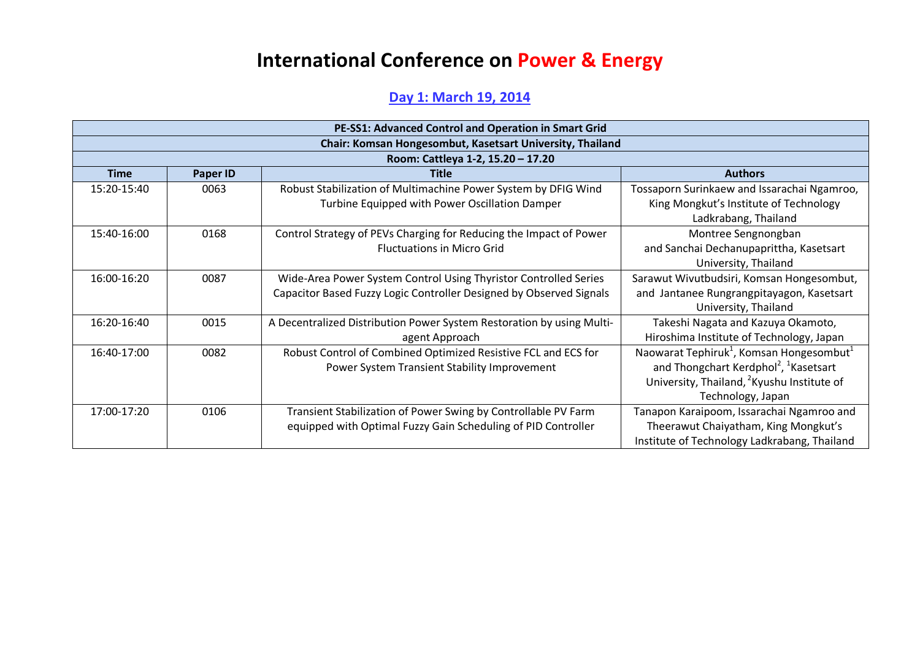## **International Conference on Power & Energy**

## **Day 1: March 19, 2014**

| PE-SS1: Advanced Control and Operation in Smart Grid |                                                           |                                                                       |                                                                  |  |  |
|------------------------------------------------------|-----------------------------------------------------------|-----------------------------------------------------------------------|------------------------------------------------------------------|--|--|
|                                                      | Chair: Komsan Hongesombut, Kasetsart University, Thailand |                                                                       |                                                                  |  |  |
|                                                      |                                                           | Room: Cattleya 1-2, 15.20 - 17.20                                     |                                                                  |  |  |
| <b>Time</b>                                          | Paper ID                                                  | <b>Title</b>                                                          | <b>Authors</b>                                                   |  |  |
| 15:20-15:40                                          | 0063                                                      | Robust Stabilization of Multimachine Power System by DFIG Wind        | Tossaporn Surinkaew and Issarachai Ngamroo,                      |  |  |
|                                                      |                                                           | Turbine Equipped with Power Oscillation Damper                        | King Mongkut's Institute of Technology                           |  |  |
|                                                      |                                                           |                                                                       | Ladkrabang, Thailand                                             |  |  |
| 15:40-16:00                                          | 0168                                                      | Control Strategy of PEVs Charging for Reducing the Impact of Power    | Montree Sengnongban                                              |  |  |
|                                                      |                                                           | <b>Fluctuations in Micro Grid</b>                                     | and Sanchai Dechanupaprittha, Kasetsart                          |  |  |
|                                                      |                                                           |                                                                       | University, Thailand                                             |  |  |
| 16:00-16:20                                          | 0087                                                      | Wide-Area Power System Control Using Thyristor Controlled Series      | Sarawut Wivutbudsiri, Komsan Hongesombut,                        |  |  |
|                                                      |                                                           | Capacitor Based Fuzzy Logic Controller Designed by Observed Signals   | and Jantanee Rungrangpitayagon, Kasetsart                        |  |  |
|                                                      |                                                           |                                                                       | University, Thailand                                             |  |  |
| $16:20-16:40$                                        | 0015                                                      | A Decentralized Distribution Power System Restoration by using Multi- | Takeshi Nagata and Kazuya Okamoto,                               |  |  |
|                                                      |                                                           | agent Approach                                                        | Hiroshima Institute of Technology, Japan                         |  |  |
| 16:40-17:00                                          | 0082                                                      | Robust Control of Combined Optimized Resistive FCL and ECS for        | Naowarat Tephiruk <sup>1</sup> , Komsan Hongesombut <sup>1</sup> |  |  |
|                                                      |                                                           | Power System Transient Stability Improvement                          | and Thongchart Kerdphol <sup>2</sup> , <sup>1</sup> Kasetsart    |  |  |
|                                                      |                                                           |                                                                       | University, Thailand, <sup>2</sup> Kyushu Institute of           |  |  |
|                                                      |                                                           |                                                                       | Technology, Japan                                                |  |  |
| 17:00-17:20                                          | 0106                                                      | Transient Stabilization of Power Swing by Controllable PV Farm        | Tanapon Karaipoom, Issarachai Ngamroo and                        |  |  |
|                                                      |                                                           | equipped with Optimal Fuzzy Gain Scheduling of PID Controller         | Theerawut Chaiyatham, King Mongkut's                             |  |  |
|                                                      |                                                           |                                                                       | Institute of Technology Ladkrabang, Thailand                     |  |  |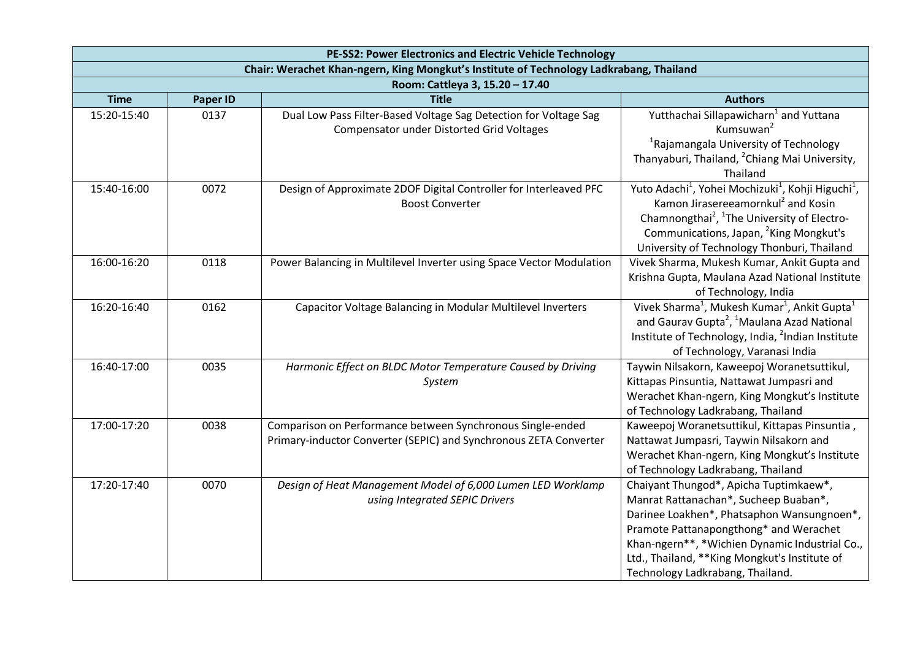| PE-SS2: Power Electronics and Electric Vehicle Technology                               |                 |                                                                                                                                 |                                                                                                                                                                                                                                                                                                                      |
|-----------------------------------------------------------------------------------------|-----------------|---------------------------------------------------------------------------------------------------------------------------------|----------------------------------------------------------------------------------------------------------------------------------------------------------------------------------------------------------------------------------------------------------------------------------------------------------------------|
| Chair: Werachet Khan-ngern, King Mongkut's Institute of Technology Ladkrabang, Thailand |                 |                                                                                                                                 |                                                                                                                                                                                                                                                                                                                      |
|                                                                                         |                 | Room: Cattleya 3, 15.20 - 17.40                                                                                                 |                                                                                                                                                                                                                                                                                                                      |
| <b>Time</b>                                                                             | <b>Paper ID</b> | <b>Title</b>                                                                                                                    | <b>Authors</b>                                                                                                                                                                                                                                                                                                       |
| 15:20-15:40                                                                             | 0137            | Dual Low Pass Filter-Based Voltage Sag Detection for Voltage Sag<br><b>Compensator under Distorted Grid Voltages</b>            | Yutthachai Sillapawicharn <sup>1</sup> and Yuttana<br>Kumsuwan <sup>2</sup><br><sup>1</sup> Rajamangala University of Technology<br>Thanyaburi, Thailand, <sup>2</sup> Chiang Mai University,<br>Thailand                                                                                                            |
| 15:40-16:00                                                                             | 0072            | Design of Approximate 2DOF Digital Controller for Interleaved PFC<br><b>Boost Converter</b>                                     | Yuto Adachi <sup>1</sup> , Yohei Mochizuki <sup>1</sup> , Kohji Higuchi <sup>1</sup> ,<br>Kamon Jirasereeamornkul <sup>2</sup> and Kosin<br>Chamnongthai <sup>2</sup> , <sup>1</sup> The University of Electro-<br>Communications, Japan, <sup>2</sup> King Mongkut's<br>University of Technology Thonburi, Thailand |
| 16:00-16:20                                                                             | 0118            | Power Balancing in Multilevel Inverter using Space Vector Modulation                                                            | Vivek Sharma, Mukesh Kumar, Ankit Gupta and<br>Krishna Gupta, Maulana Azad National Institute<br>of Technology, India                                                                                                                                                                                                |
| 16:20-16:40                                                                             | 0162            | Capacitor Voltage Balancing in Modular Multilevel Inverters                                                                     | Vivek Sharma <sup>1</sup> , Mukesh Kumar <sup>1</sup> , Ankit Gupta <sup>1</sup><br>and Gaurav Gupta <sup>2</sup> , <sup>1</sup> Maulana Azad National<br>Institute of Technology, India, <sup>2</sup> Indian Institute<br>of Technology, Varanasi India                                                             |
| 16:40-17:00                                                                             | 0035            | Harmonic Effect on BLDC Motor Temperature Caused by Driving<br>System                                                           | Taywin Nilsakorn, Kaweepoj Woranetsuttikul,<br>Kittapas Pinsuntia, Nattawat Jumpasri and<br>Werachet Khan-ngern, King Mongkut's Institute<br>of Technology Ladkrabang, Thailand                                                                                                                                      |
| 17:00-17:20                                                                             | 0038            | Comparison on Performance between Synchronous Single-ended<br>Primary-inductor Converter (SEPIC) and Synchronous ZETA Converter | Kaweepoj Woranetsuttikul, Kittapas Pinsuntia,<br>Nattawat Jumpasri, Taywin Nilsakorn and<br>Werachet Khan-ngern, King Mongkut's Institute<br>of Technology Ladkrabang, Thailand                                                                                                                                      |
| 17:20-17:40                                                                             | 0070            | Design of Heat Management Model of 6,000 Lumen LED Worklamp<br>using Integrated SEPIC Drivers                                   | Chaiyant Thungod*, Apicha Tuptimkaew*,<br>Manrat Rattanachan*, Sucheep Buaban*,<br>Darinee Loakhen*, Phatsaphon Wansungnoen*,<br>Pramote Pattanapongthong* and Werachet<br>Khan-ngern**, *Wichien Dynamic Industrial Co.,<br>Ltd., Thailand, ** King Mongkut's Institute of<br>Technology Ladkrabang, Thailand.      |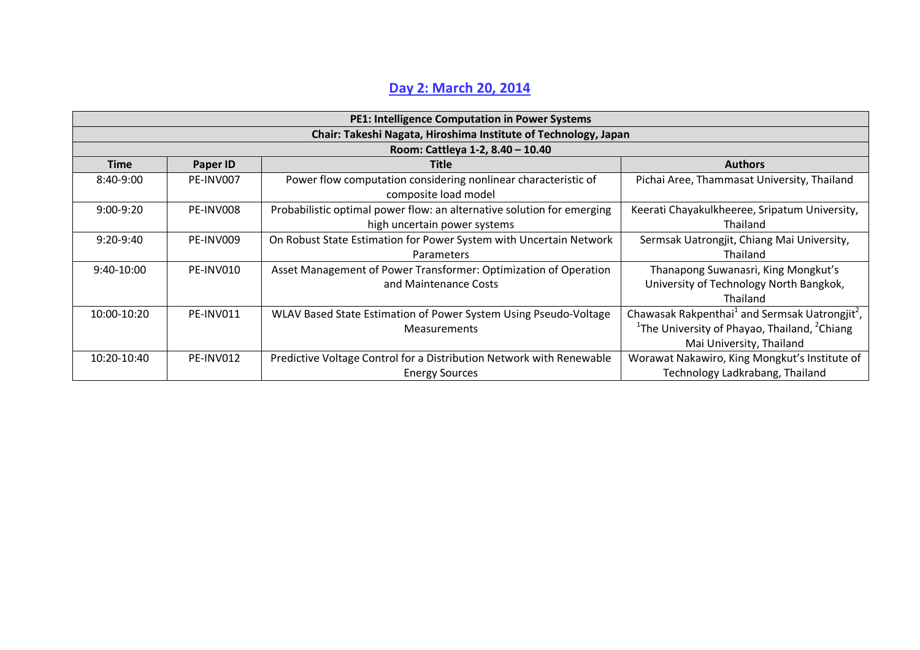## **Day 2: March 20, 2014**

| <b>PE1: Intelligence Computation in Power Systems</b> |                                                                 |                                                                                        |                                                                        |  |  |
|-------------------------------------------------------|-----------------------------------------------------------------|----------------------------------------------------------------------------------------|------------------------------------------------------------------------|--|--|
|                                                       | Chair: Takeshi Nagata, Hiroshima Institute of Technology, Japan |                                                                                        |                                                                        |  |  |
|                                                       |                                                                 | Room: Cattleya 1-2, 8.40 - 10.40                                                       |                                                                        |  |  |
| <b>Time</b>                                           | Paper ID                                                        | <b>Title</b>                                                                           | <b>Authors</b>                                                         |  |  |
| 8:40-9:00                                             | PE-INV007                                                       | Power flow computation considering nonlinear characteristic of<br>composite load model | Pichai Aree, Thammasat University, Thailand                            |  |  |
| $9:00-9:20$                                           | PE-INV008                                                       | Probabilistic optimal power flow: an alternative solution for emerging                 | Keerati Chayakulkheeree, Sripatum University,                          |  |  |
|                                                       |                                                                 | high uncertain power systems                                                           | Thailand                                                               |  |  |
| $9:20-9:40$                                           | PE-INV009                                                       | On Robust State Estimation for Power System with Uncertain Network                     | Sermsak Uatrongjit, Chiang Mai University,                             |  |  |
|                                                       |                                                                 | Parameters                                                                             | Thailand                                                               |  |  |
| 9:40-10:00                                            | PE-INV010                                                       | Asset Management of Power Transformer: Optimization of Operation                       | Thanapong Suwanasri, King Mongkut's                                    |  |  |
|                                                       |                                                                 | and Maintenance Costs                                                                  | University of Technology North Bangkok,                                |  |  |
|                                                       |                                                                 |                                                                                        | Thailand                                                               |  |  |
| 10:00-10:20                                           | PE-INV011                                                       | WLAV Based State Estimation of Power System Using Pseudo-Voltage                       | Chawasak Rakpenthai <sup>1</sup> and Sermsak Uatrongjit <sup>2</sup> , |  |  |
|                                                       |                                                                 | Measurements                                                                           | <sup>1</sup> The University of Phayao, Thailand, <sup>2</sup> Chiang   |  |  |
|                                                       |                                                                 |                                                                                        | Mai University, Thailand                                               |  |  |
| 10:20-10:40                                           | PE-INV012                                                       | Predictive Voltage Control for a Distribution Network with Renewable                   | Worawat Nakawiro, King Mongkut's Institute of                          |  |  |
|                                                       |                                                                 | <b>Energy Sources</b>                                                                  | Technology Ladkrabang, Thailand                                        |  |  |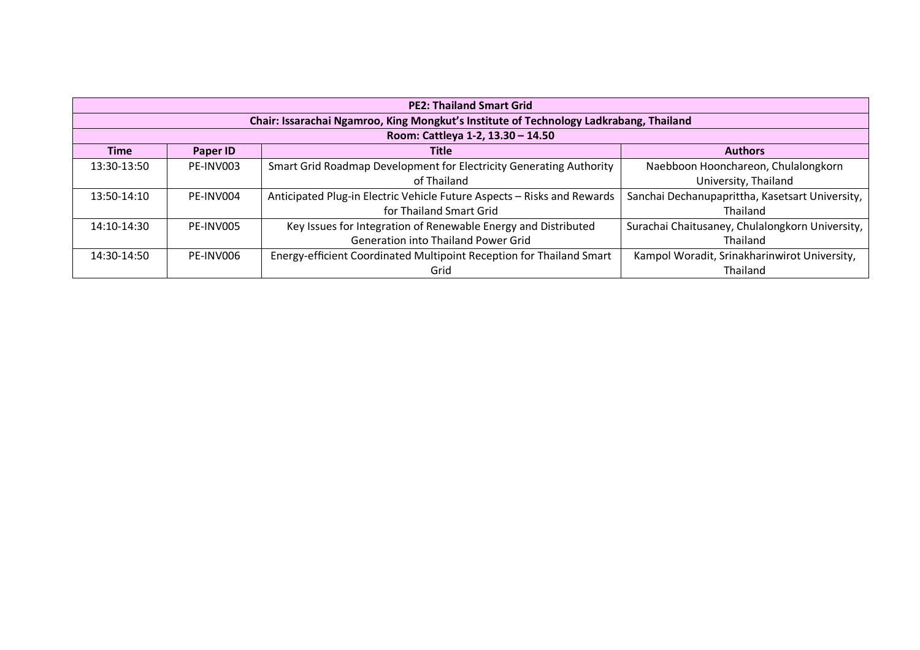| <b>PE2: Thailand Smart Grid</b> |                                                                                        |                                                                         |                                                 |  |  |
|---------------------------------|----------------------------------------------------------------------------------------|-------------------------------------------------------------------------|-------------------------------------------------|--|--|
|                                 | Chair: Issarachai Ngamroo, King Mongkut's Institute of Technology Ladkrabang, Thailand |                                                                         |                                                 |  |  |
|                                 |                                                                                        | Room: Cattleya 1-2, 13.30 - 14.50                                       |                                                 |  |  |
| <b>Time</b>                     | Paper ID                                                                               | Title                                                                   | <b>Authors</b>                                  |  |  |
| 13:30-13:50                     | PE-INV003                                                                              | Smart Grid Roadmap Development for Electricity Generating Authority     | Naebboon Hoonchareon, Chulalongkorn             |  |  |
|                                 |                                                                                        | of Thailand                                                             | University, Thailand                            |  |  |
| 13:50-14:10                     | PF-INV004                                                                              | Anticipated Plug-in Electric Vehicle Future Aspects - Risks and Rewards | Sanchai Dechanupaprittha, Kasetsart University, |  |  |
|                                 |                                                                                        | for Thailand Smart Grid                                                 | Thailand                                        |  |  |
| 14:10-14:30                     | PF-INV005                                                                              | Key Issues for Integration of Renewable Energy and Distributed          | Surachai Chaitusaney, Chulalongkorn University, |  |  |
|                                 |                                                                                        | <b>Generation into Thailand Power Grid</b>                              | Thailand                                        |  |  |
| 14:30-14:50                     | PE-INV006                                                                              | Energy-efficient Coordinated Multipoint Reception for Thailand Smart    | Kampol Woradit, Srinakharinwirot University,    |  |  |
|                                 |                                                                                        | Grid                                                                    | Thailand                                        |  |  |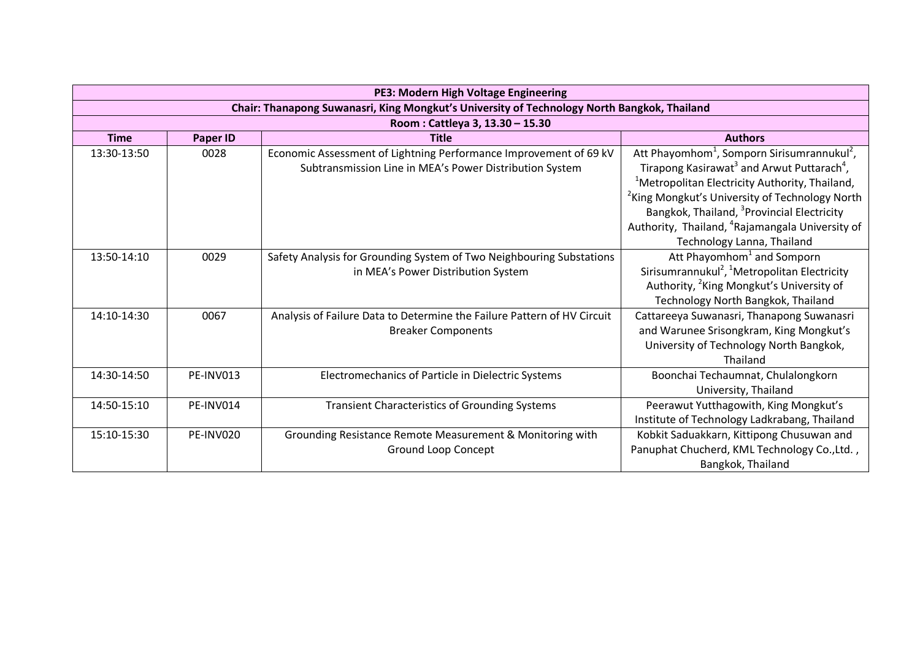| PE3: Modern High Voltage Engineering                                                        |                 |                                                                                                                              |                                                                                                                                                                                                                                                                                                                                                                                                                              |  |
|---------------------------------------------------------------------------------------------|-----------------|------------------------------------------------------------------------------------------------------------------------------|------------------------------------------------------------------------------------------------------------------------------------------------------------------------------------------------------------------------------------------------------------------------------------------------------------------------------------------------------------------------------------------------------------------------------|--|
| Chair: Thanapong Suwanasri, King Mongkut's University of Technology North Bangkok, Thailand |                 |                                                                                                                              |                                                                                                                                                                                                                                                                                                                                                                                                                              |  |
|                                                                                             |                 | Room: Cattleya 3, 13.30 - 15.30                                                                                              |                                                                                                                                                                                                                                                                                                                                                                                                                              |  |
| <b>Time</b>                                                                                 | <b>Paper ID</b> | <b>Title</b>                                                                                                                 | <b>Authors</b>                                                                                                                                                                                                                                                                                                                                                                                                               |  |
| 13:30-13:50                                                                                 | 0028            | Economic Assessment of Lightning Performance Improvement of 69 kV<br>Subtransmission Line in MEA's Power Distribution System | Att Phayomhom <sup>1</sup> , Somporn Sirisumrannukul <sup>2</sup> ,<br>Tirapong Kasirawat <sup>3</sup> and Arwut Puttarach <sup>4</sup> ,<br><sup>1</sup> Metropolitan Electricity Authority, Thailand,<br><sup>2</sup> King Mongkut's University of Technology North<br>Bangkok, Thailand, <sup>3</sup> Provincial Electricity<br>Authority, Thailand, <sup>4</sup> Rajamangala University of<br>Technology Lanna, Thailand |  |
| 13:50-14:10                                                                                 | 0029            | Safety Analysis for Grounding System of Two Neighbouring Substations<br>in MEA's Power Distribution System                   | Att Phayomhom <sup>1</sup> and Somporn<br>Sirisumrannukul <sup>2</sup> , <sup>1</sup> Metropolitan Electricity<br>Authority, <sup>2</sup> King Mongkut's University of<br>Technology North Bangkok, Thailand                                                                                                                                                                                                                 |  |
| 14:10-14:30                                                                                 | 0067            | Analysis of Failure Data to Determine the Failure Pattern of HV Circuit<br><b>Breaker Components</b>                         | Cattareeya Suwanasri, Thanapong Suwanasri<br>and Warunee Srisongkram, King Mongkut's<br>University of Technology North Bangkok,<br>Thailand                                                                                                                                                                                                                                                                                  |  |
| 14:30-14:50                                                                                 | PE-INV013       | Electromechanics of Particle in Dielectric Systems                                                                           | Boonchai Techaumnat, Chulalongkorn<br>University, Thailand                                                                                                                                                                                                                                                                                                                                                                   |  |
| 14:50-15:10                                                                                 | PE-INV014       | <b>Transient Characteristics of Grounding Systems</b>                                                                        | Peerawut Yutthagowith, King Mongkut's<br>Institute of Technology Ladkrabang, Thailand                                                                                                                                                                                                                                                                                                                                        |  |
| 15:10-15:30                                                                                 | PE-INV020       | Grounding Resistance Remote Measurement & Monitoring with<br><b>Ground Loop Concept</b>                                      | Kobkit Saduakkarn, Kittipong Chusuwan and<br>Panuphat Chucherd, KML Technology Co., Ltd.,<br>Bangkok, Thailand                                                                                                                                                                                                                                                                                                               |  |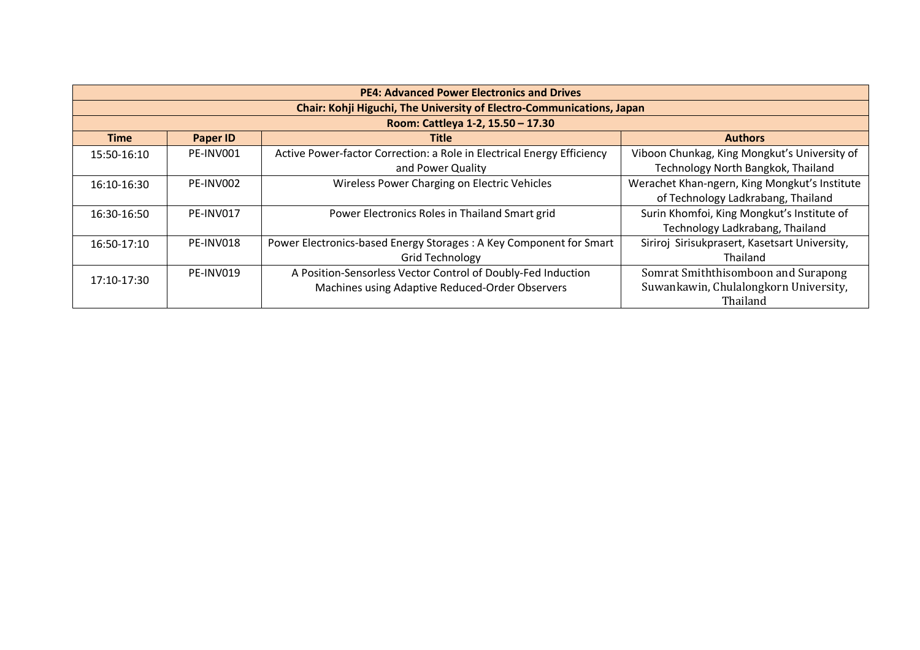| <b>PE4: Advanced Power Electronics and Drives</b> |                                                                       |                                                                        |                                               |  |  |
|---------------------------------------------------|-----------------------------------------------------------------------|------------------------------------------------------------------------|-----------------------------------------------|--|--|
|                                                   | Chair: Kohji Higuchi, The University of Electro-Communications, Japan |                                                                        |                                               |  |  |
|                                                   |                                                                       | Room: Cattleya 1-2, 15.50 - 17.30                                      |                                               |  |  |
| <b>Time</b>                                       | <b>Paper ID</b>                                                       | <b>Title</b>                                                           | <b>Authors</b>                                |  |  |
| 15:50-16:10                                       | PE-INV001                                                             | Active Power-factor Correction: a Role in Electrical Energy Efficiency | Viboon Chunkag, King Mongkut's University of  |  |  |
|                                                   |                                                                       | and Power Quality                                                      | Technology North Bangkok, Thailand            |  |  |
| 16:10-16:30                                       | PE-INV002                                                             | Wireless Power Charging on Electric Vehicles                           | Werachet Khan-ngern, King Mongkut's Institute |  |  |
|                                                   |                                                                       |                                                                        | of Technology Ladkrabang, Thailand            |  |  |
| 16:30-16:50                                       | PE-INV017                                                             | Power Electronics Roles in Thailand Smart grid                         | Surin Khomfoi, King Mongkut's Institute of    |  |  |
|                                                   |                                                                       |                                                                        | Technology Ladkrabang, Thailand               |  |  |
| 16:50-17:10                                       | PE-INV018                                                             | Power Electronics-based Energy Storages: A Key Component for Smart     | Siriroj Sirisukprasert, Kasetsart University, |  |  |
|                                                   |                                                                       | <b>Grid Technology</b>                                                 | Thailand                                      |  |  |
| 17:10-17:30                                       | PE-INV019                                                             | A Position-Sensorless Vector Control of Doubly-Fed Induction           | Somrat Smiththisomboon and Surapong           |  |  |
|                                                   |                                                                       | Machines using Adaptive Reduced-Order Observers                        | Suwankawin, Chulalongkorn University,         |  |  |
|                                                   |                                                                       |                                                                        | Thailand                                      |  |  |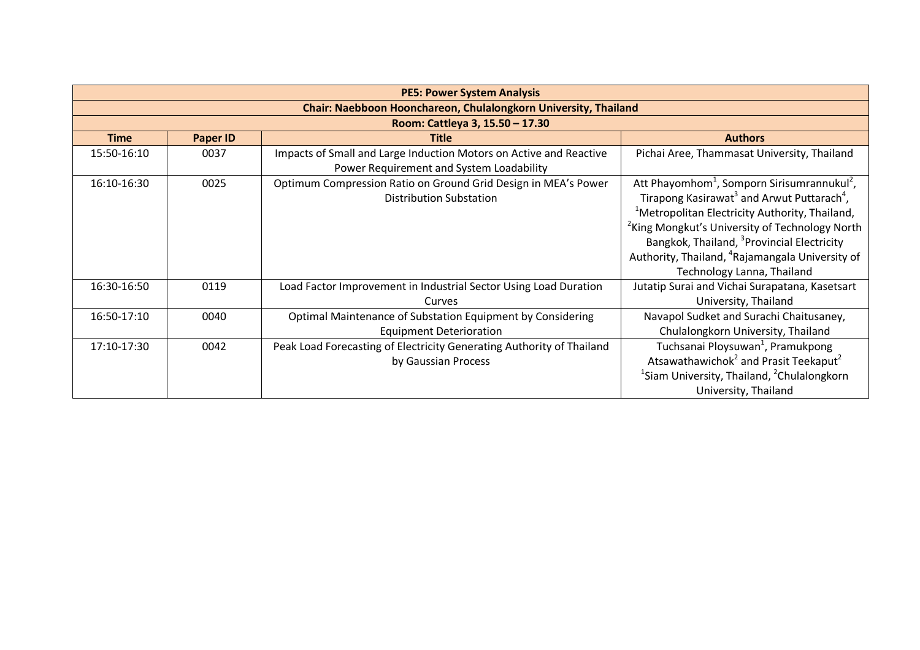| <b>PE5: Power System Analysis</b>                               |                 |                                                                                                                |                                                                                                                                                                                                                                                                                                                                                                                                                              |  |
|-----------------------------------------------------------------|-----------------|----------------------------------------------------------------------------------------------------------------|------------------------------------------------------------------------------------------------------------------------------------------------------------------------------------------------------------------------------------------------------------------------------------------------------------------------------------------------------------------------------------------------------------------------------|--|
| Chair: Naebboon Hoonchareon, Chulalongkorn University, Thailand |                 |                                                                                                                |                                                                                                                                                                                                                                                                                                                                                                                                                              |  |
|                                                                 |                 | Room: Cattleya 3, 15.50 - 17.30                                                                                |                                                                                                                                                                                                                                                                                                                                                                                                                              |  |
| <b>Time</b>                                                     | <b>Paper ID</b> | <b>Title</b>                                                                                                   | <b>Authors</b>                                                                                                                                                                                                                                                                                                                                                                                                               |  |
| 15:50-16:10                                                     | 0037            | Impacts of Small and Large Induction Motors on Active and Reactive<br>Power Requirement and System Loadability | Pichai Aree, Thammasat University, Thailand                                                                                                                                                                                                                                                                                                                                                                                  |  |
| 16:10-16:30                                                     | 0025            | Optimum Compression Ratio on Ground Grid Design in MEA's Power<br><b>Distribution Substation</b>               | Att Phayomhom <sup>1</sup> , Somporn Sirisumrannukul <sup>2</sup> ,<br>Tirapong Kasirawat <sup>3</sup> and Arwut Puttarach <sup>4</sup> ,<br><sup>1</sup> Metropolitan Electricity Authority, Thailand,<br><sup>2</sup> King Mongkut's University of Technology North<br>Bangkok, Thailand, <sup>3</sup> Provincial Electricity<br>Authority, Thailand, <sup>4</sup> Rajamangala University of<br>Technology Lanna, Thailand |  |
| 16:30-16:50                                                     | 0119            | Load Factor Improvement in Industrial Sector Using Load Duration<br>Curves                                     | Jutatip Surai and Vichai Surapatana, Kasetsart<br>University, Thailand                                                                                                                                                                                                                                                                                                                                                       |  |
| 16:50-17:10                                                     | 0040            | Optimal Maintenance of Substation Equipment by Considering<br><b>Equipment Deterioration</b>                   | Navapol Sudket and Surachi Chaitusaney,<br>Chulalongkorn University, Thailand                                                                                                                                                                                                                                                                                                                                                |  |
| 17:10-17:30                                                     | 0042            | Peak Load Forecasting of Electricity Generating Authority of Thailand<br>by Gaussian Process                   | Tuchsanai Ploysuwan <sup>1</sup> , Pramukpong<br>Atsawathawichok <sup>2</sup> and Prasit Teekaput <sup>2</sup><br><sup>1</sup> Siam University, Thailand, <sup>2</sup> Chulalongkorn<br>University, Thailand                                                                                                                                                                                                                 |  |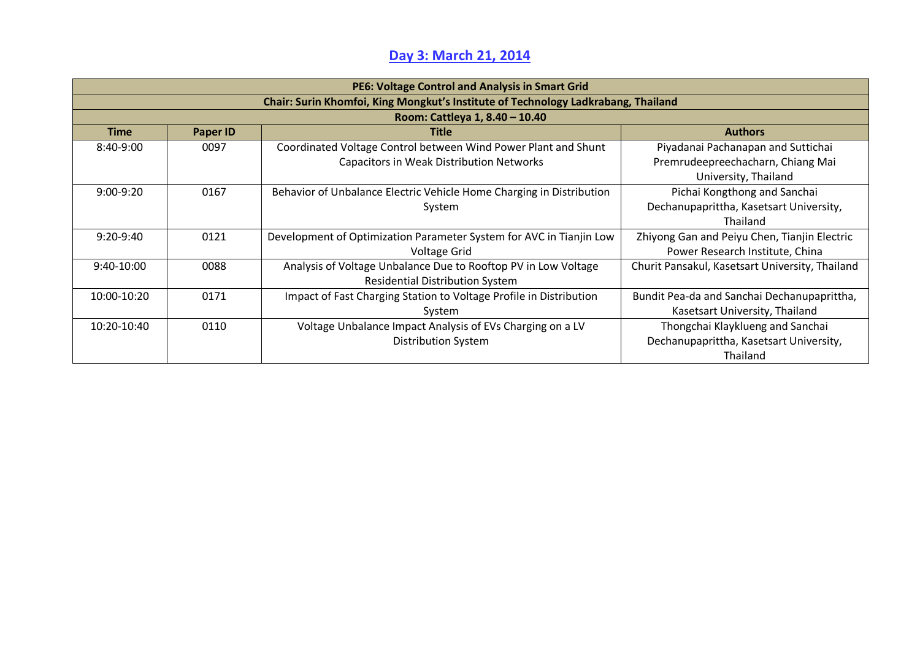## **Day 3: March 21, 2014**

| PE6: Voltage Control and Analysis in Smart Grid                                   |                 |                                                                      |                                                 |  |
|-----------------------------------------------------------------------------------|-----------------|----------------------------------------------------------------------|-------------------------------------------------|--|
| Chair: Surin Khomfoi, King Mongkut's Institute of Technology Ladkrabang, Thailand |                 |                                                                      |                                                 |  |
|                                                                                   |                 | Room: Cattleya 1, 8.40 - 10.40                                       |                                                 |  |
| <b>Time</b>                                                                       | <b>Paper ID</b> | <b>Title</b>                                                         | <b>Authors</b>                                  |  |
| 8:40-9:00                                                                         | 0097            | Coordinated Voltage Control between Wind Power Plant and Shunt       | Piyadanai Pachanapan and Suttichai              |  |
|                                                                                   |                 | <b>Capacitors in Weak Distribution Networks</b>                      | Premrudeepreechacharn, Chiang Mai               |  |
|                                                                                   |                 |                                                                      | University, Thailand                            |  |
| $9:00-9:20$                                                                       | 0167            | Behavior of Unbalance Electric Vehicle Home Charging in Distribution | Pichai Kongthong and Sanchai                    |  |
|                                                                                   |                 | System                                                               | Dechanupaprittha, Kasetsart University,         |  |
|                                                                                   |                 |                                                                      | Thailand                                        |  |
| $9:20-9:40$                                                                       | 0121            | Development of Optimization Parameter System for AVC in Tianjin Low  | Zhiyong Gan and Peiyu Chen, Tianjin Electric    |  |
|                                                                                   |                 | Voltage Grid                                                         | Power Research Institute, China                 |  |
| $9:40-10:00$                                                                      | 0088            | Analysis of Voltage Unbalance Due to Rooftop PV in Low Voltage       | Churit Pansakul, Kasetsart University, Thailand |  |
|                                                                                   |                 | <b>Residential Distribution System</b>                               |                                                 |  |
| 10:00-10:20                                                                       | 0171            | Impact of Fast Charging Station to Voltage Profile in Distribution   | Bundit Pea-da and Sanchai Dechanupaprittha,     |  |
|                                                                                   |                 | System                                                               | Kasetsart University, Thailand                  |  |
| 10:20-10:40                                                                       | 0110            | Voltage Unbalance Impact Analysis of EVs Charging on a LV            | Thongchai Klayklueng and Sanchai                |  |
|                                                                                   |                 | <b>Distribution System</b>                                           | Dechanupaprittha, Kasetsart University,         |  |
|                                                                                   |                 |                                                                      | Thailand                                        |  |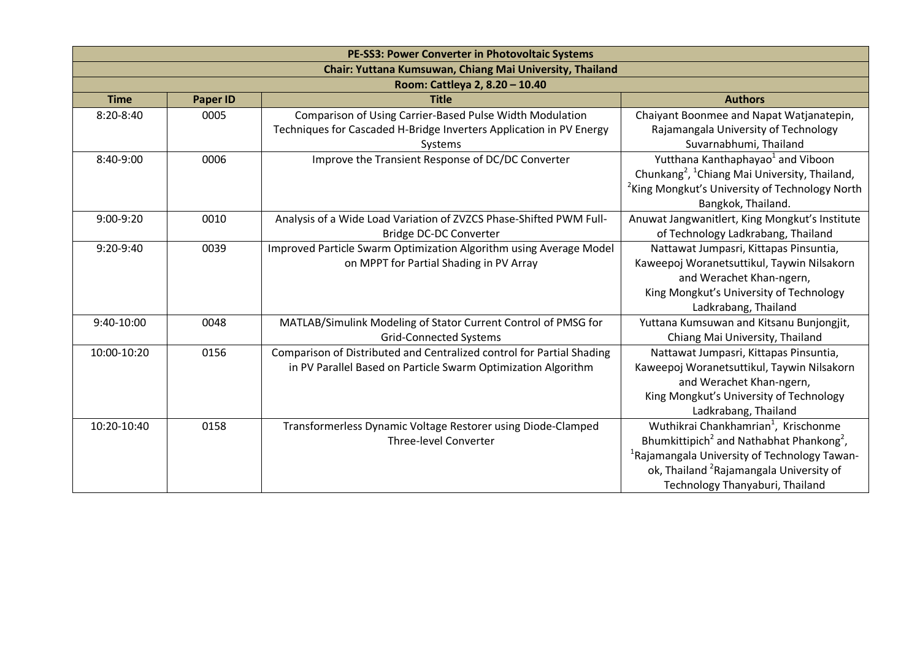| PE-SS3: Power Converter in Photovoltaic Systems |                                                          |                                                                                                                                            |                                                                                                                                                                                                                                                                            |  |  |
|-------------------------------------------------|----------------------------------------------------------|--------------------------------------------------------------------------------------------------------------------------------------------|----------------------------------------------------------------------------------------------------------------------------------------------------------------------------------------------------------------------------------------------------------------------------|--|--|
|                                                 | Chair: Yuttana Kumsuwan, Chiang Mai University, Thailand |                                                                                                                                            |                                                                                                                                                                                                                                                                            |  |  |
|                                                 |                                                          | Room: Cattleya 2, 8.20 - 10.40                                                                                                             |                                                                                                                                                                                                                                                                            |  |  |
| <b>Time</b>                                     | <b>Paper ID</b>                                          | <b>Title</b>                                                                                                                               | <b>Authors</b>                                                                                                                                                                                                                                                             |  |  |
| $8:20-8:40$                                     | 0005                                                     | Comparison of Using Carrier-Based Pulse Width Modulation<br>Techniques for Cascaded H-Bridge Inverters Application in PV Energy<br>Systems | Chaiyant Boonmee and Napat Watjanatepin,<br>Rajamangala University of Technology<br>Suvarnabhumi, Thailand                                                                                                                                                                 |  |  |
| 8:40-9:00                                       | 0006                                                     | Improve the Transient Response of DC/DC Converter                                                                                          | Yutthana Kanthaphayao <sup>1</sup> and Viboon<br>Chunkang <sup>2</sup> , <sup>1</sup> Chiang Mai University, Thailand,<br><sup>2</sup> King Mongkut's University of Technology North<br>Bangkok, Thailand.                                                                 |  |  |
| $9:00-9:20$                                     | 0010                                                     | Analysis of a Wide Load Variation of ZVZCS Phase-Shifted PWM Full-<br>Bridge DC-DC Converter                                               | Anuwat Jangwanitlert, King Mongkut's Institute<br>of Technology Ladkrabang, Thailand                                                                                                                                                                                       |  |  |
| 9:20-9:40                                       | 0039                                                     | Improved Particle Swarm Optimization Algorithm using Average Model<br>on MPPT for Partial Shading in PV Array                              | Nattawat Jumpasri, Kittapas Pinsuntia,<br>Kaweepoj Woranetsuttikul, Taywin Nilsakorn<br>and Werachet Khan-ngern,<br>King Mongkut's University of Technology<br>Ladkrabang, Thailand                                                                                        |  |  |
| 9:40-10:00                                      | 0048                                                     | MATLAB/Simulink Modeling of Stator Current Control of PMSG for<br><b>Grid-Connected Systems</b>                                            | Yuttana Kumsuwan and Kitsanu Bunjongjit,<br>Chiang Mai University, Thailand                                                                                                                                                                                                |  |  |
| 10:00-10:20                                     | 0156                                                     | Comparison of Distributed and Centralized control for Partial Shading<br>in PV Parallel Based on Particle Swarm Optimization Algorithm     | Nattawat Jumpasri, Kittapas Pinsuntia,<br>Kaweepoj Woranetsuttikul, Taywin Nilsakorn<br>and Werachet Khan-ngern,<br>King Mongkut's University of Technology<br>Ladkrabang, Thailand                                                                                        |  |  |
| 10:20-10:40                                     | 0158                                                     | Transformerless Dynamic Voltage Restorer using Diode-Clamped<br><b>Three-level Converter</b>                                               | Wuthikrai Chankhamrian <sup>1</sup> , Krischonme<br>Bhumkittipich <sup>2</sup> and Nathabhat Phankong <sup>2</sup> ,<br><sup>1</sup> Rajamangala University of Technology Tawan-<br>ok, Thailand <sup>2</sup> Rajamangala University of<br>Technology Thanyaburi, Thailand |  |  |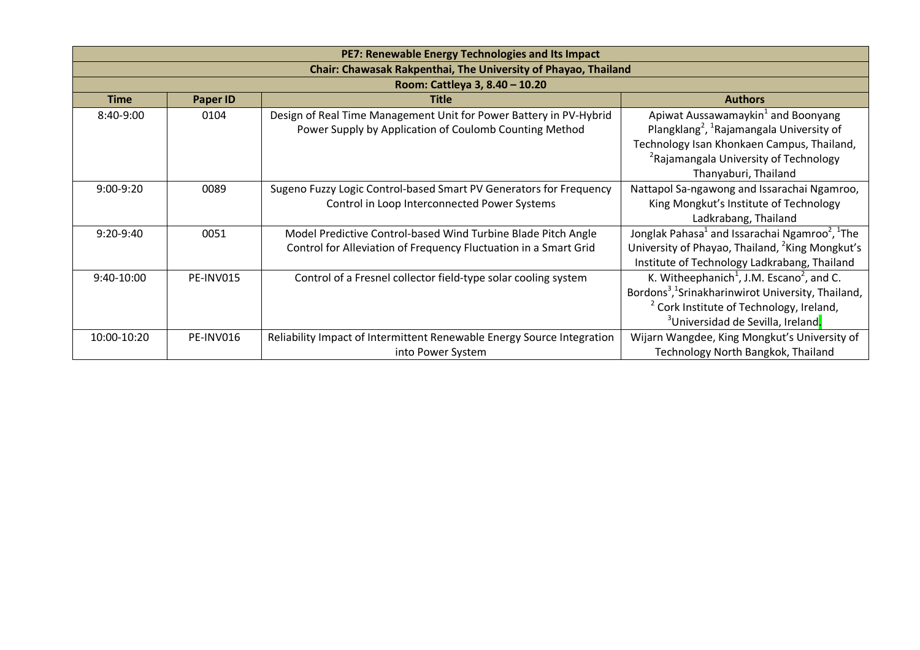| PE7: Renewable Energy Technologies and Its Impact              |           |                                                                                                                                   |                                                                                                                                                                                                                                                         |  |
|----------------------------------------------------------------|-----------|-----------------------------------------------------------------------------------------------------------------------------------|---------------------------------------------------------------------------------------------------------------------------------------------------------------------------------------------------------------------------------------------------------|--|
| Chair: Chawasak Rakpenthai, The University of Phayao, Thailand |           |                                                                                                                                   |                                                                                                                                                                                                                                                         |  |
|                                                                |           | Room: Cattleya 3, 8.40 - 10.20                                                                                                    |                                                                                                                                                                                                                                                         |  |
| <b>Time</b>                                                    | Paper ID  | <b>Title</b>                                                                                                                      | <b>Authors</b>                                                                                                                                                                                                                                          |  |
| 8:40-9:00                                                      | 0104      | Design of Real Time Management Unit for Power Battery in PV-Hybrid<br>Power Supply by Application of Coulomb Counting Method      | Apiwat Aussawamaykin <sup>1</sup> and Boonyang<br>Plangklang <sup>2</sup> , <sup>1</sup> Rajamangala University of                                                                                                                                      |  |
|                                                                |           |                                                                                                                                   | Technology Isan Khonkaen Campus, Thailand,<br><sup>2</sup> Rajamangala University of Technology<br>Thanyaburi, Thailand                                                                                                                                 |  |
| $9:00-9:20$                                                    | 0089      | Sugeno Fuzzy Logic Control-based Smart PV Generators for Frequency<br>Control in Loop Interconnected Power Systems                | Nattapol Sa-ngawong and Issarachai Ngamroo,<br>King Mongkut's Institute of Technology<br>Ladkrabang, Thailand                                                                                                                                           |  |
| $9:20-9:40$                                                    | 0051      | Model Predictive Control-based Wind Turbine Blade Pitch Angle<br>Control for Alleviation of Frequency Fluctuation in a Smart Grid | Jonglak Pahasa <sup>1</sup> and Issarachai Ngamroo <sup>2</sup> , <sup>1</sup> The<br>University of Phayao, Thailand, <sup>2</sup> King Mongkut's<br>Institute of Technology Ladkrabang, Thailand                                                       |  |
| 9:40-10:00                                                     | PE-INV015 | Control of a Fresnel collector field-type solar cooling system                                                                    | K. Witheephanich <sup>1</sup> , J.M. Escano <sup>2</sup> , and C.<br>Bordons <sup>3</sup> , <sup>1</sup> Srinakharinwirot University, Thailand,<br><sup>2</sup> Cork Institute of Technology, Ireland,<br><sup>3</sup> Universidad de Sevilla, Ireland. |  |
| 10:00-10:20                                                    | PE-INV016 | Reliability Impact of Intermittent Renewable Energy Source Integration<br>into Power System                                       | Wijarn Wangdee, King Mongkut's University of<br>Technology North Bangkok, Thailand                                                                                                                                                                      |  |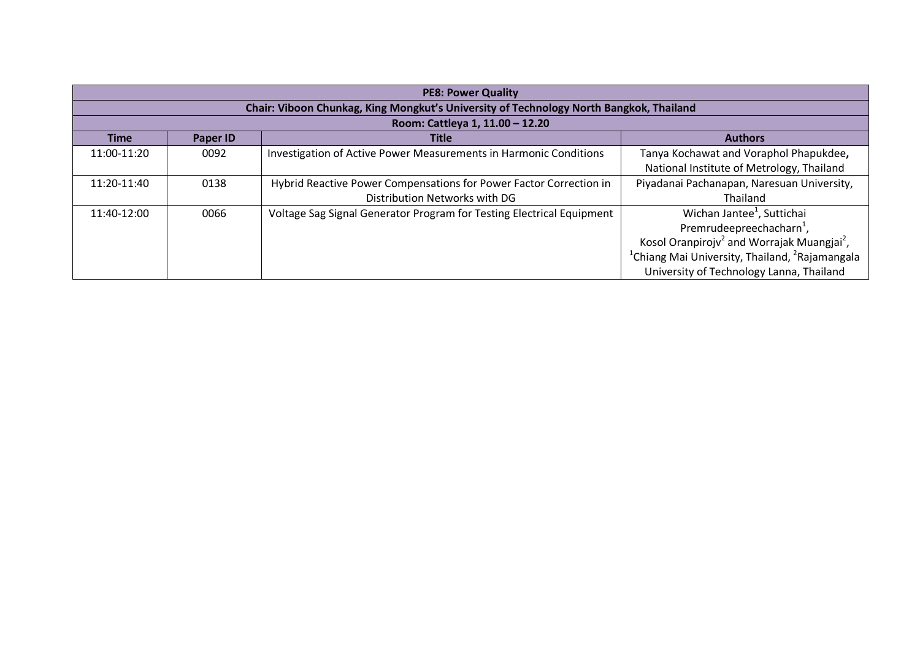| <b>PE8: Power Quality</b> |                                                                                        |                                                                       |                                                                        |  |  |
|---------------------------|----------------------------------------------------------------------------------------|-----------------------------------------------------------------------|------------------------------------------------------------------------|--|--|
|                           | Chair: Viboon Chunkag, King Mongkut's University of Technology North Bangkok, Thailand |                                                                       |                                                                        |  |  |
|                           |                                                                                        | Room: Cattleya 1, 11.00 - 12.20                                       |                                                                        |  |  |
| <b>Time</b>               | Paper ID                                                                               | <b>Title</b>                                                          | <b>Authors</b>                                                         |  |  |
| 11:00-11:20               | 0092                                                                                   | Investigation of Active Power Measurements in Harmonic Conditions     | Tanya Kochawat and Voraphol Phapukdee,                                 |  |  |
|                           |                                                                                        |                                                                       | National Institute of Metrology, Thailand                              |  |  |
| 11:20-11:40               | 0138                                                                                   | Hybrid Reactive Power Compensations for Power Factor Correction in    | Piyadanai Pachanapan, Naresuan University,                             |  |  |
|                           |                                                                                        | Distribution Networks with DG                                         | Thailand                                                               |  |  |
| 11:40-12:00               | 0066                                                                                   | Voltage Sag Signal Generator Program for Testing Electrical Equipment | Wichan Jantee <sup>1</sup> , Suttichai                                 |  |  |
|                           |                                                                                        |                                                                       | Premrudeepreechacharn <sup>1</sup> ,                                   |  |  |
|                           |                                                                                        |                                                                       | Kosol Oranpirojv <sup>2</sup> and Worrajak Muangjai <sup>2</sup> ,     |  |  |
|                           |                                                                                        |                                                                       | <sup>1</sup> Chiang Mai University, Thailand, <sup>2</sup> Rajamangala |  |  |
|                           |                                                                                        |                                                                       | University of Technology Lanna, Thailand                               |  |  |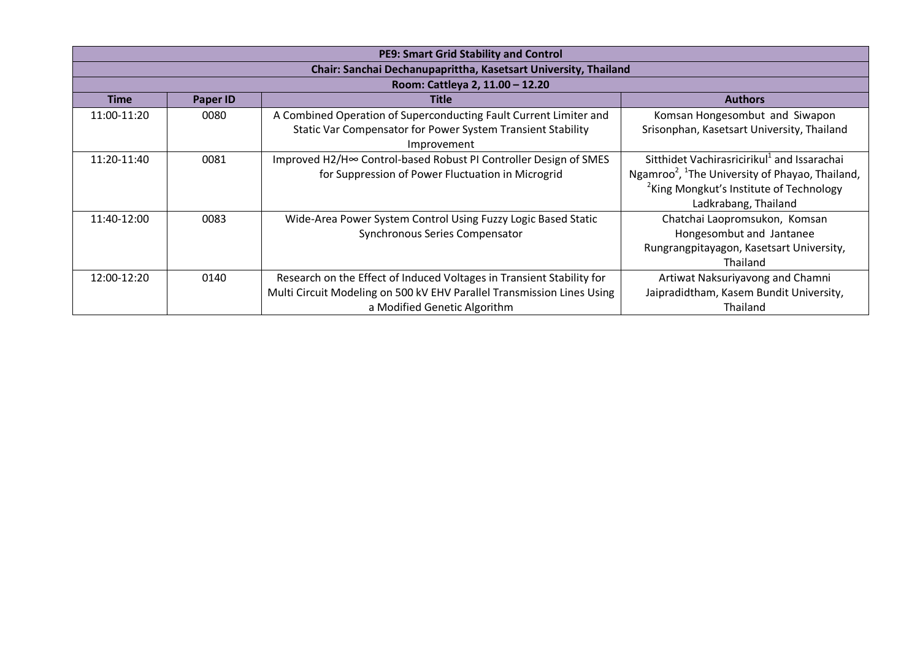| PE9: Smart Grid Stability and Control                           |                 |                                                                        |                                                                         |  |
|-----------------------------------------------------------------|-----------------|------------------------------------------------------------------------|-------------------------------------------------------------------------|--|
| Chair: Sanchai Dechanupaprittha, Kasetsart University, Thailand |                 |                                                                        |                                                                         |  |
|                                                                 |                 | Room: Cattleya 2, 11.00 - 12.20                                        |                                                                         |  |
| <b>Time</b>                                                     | <b>Paper ID</b> | <b>Title</b>                                                           | <b>Authors</b>                                                          |  |
| 11:00-11:20                                                     | 0080            | A Combined Operation of Superconducting Fault Current Limiter and      | Komsan Hongesombut and Siwapon                                          |  |
|                                                                 |                 | Static Var Compensator for Power System Transient Stability            | Srisonphan, Kasetsart University, Thailand                              |  |
|                                                                 |                 | Improvement                                                            |                                                                         |  |
| 11:20-11:40                                                     | 0081            | Improved H2/H∞ Control-based Robust PI Controller Design of SMES       | Sitthidet Vachirasricirikul <sup>1</sup> and Issarachai                 |  |
|                                                                 |                 | for Suppression of Power Fluctuation in Microgrid                      | Ngamroo <sup>2</sup> , <sup>1</sup> The University of Phayao, Thailand, |  |
|                                                                 |                 |                                                                        | <sup>2</sup> King Mongkut's Institute of Technology                     |  |
|                                                                 |                 |                                                                        | Ladkrabang, Thailand                                                    |  |
| 11:40-12:00                                                     | 0083            | Wide-Area Power System Control Using Fuzzy Logic Based Static          | Chatchai Laopromsukon, Komsan                                           |  |
|                                                                 |                 | Synchronous Series Compensator                                         | Hongesombut and Jantanee                                                |  |
|                                                                 |                 |                                                                        | Rungrangpitayagon, Kasetsart University,                                |  |
|                                                                 |                 |                                                                        | Thailand                                                                |  |
| 12:00-12:20                                                     | 0140            | Research on the Effect of Induced Voltages in Transient Stability for  | Artiwat Naksuriyavong and Chamni                                        |  |
|                                                                 |                 | Multi Circuit Modeling on 500 kV EHV Parallel Transmission Lines Using | Jaipradidtham, Kasem Bundit University,                                 |  |
|                                                                 |                 | a Modified Genetic Algorithm                                           | Thailand                                                                |  |